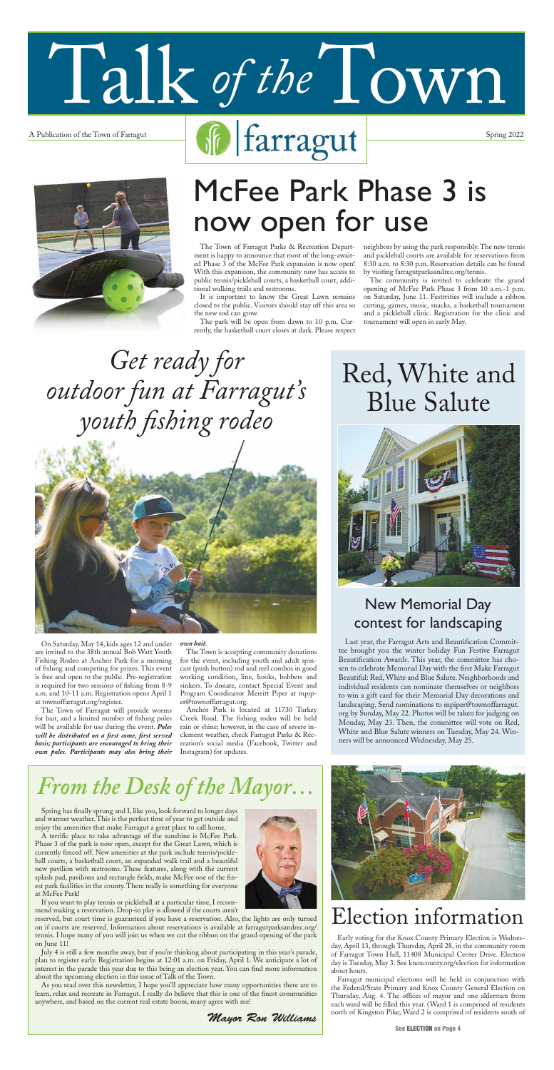$\text{A Publication of the Town of Farragut}\quad\text{Spring 2022}\quad\text{Spring 2022}$ 

Talk of the Town



*Mayor Ron Williams*



## *From the Desk of the Mayor…*



A terrific place to take advantage of the sunshine is McFee Park. Phase 3 of the park is now open, except for the Great Lawn, which is currently fenced off. New amenities at the park include tennis/pickleball courts, a basketball court, an expanded walk trail and a beautiful new pavilion with restrooms. These features, along with the current splash pad, pavilions and rectangle fields, make McFee one of the finest park facilities in the county. There really is something for everyone at McFee Park!

If you want to play tennis or pickleball at a particular time, I recommend making a reservation. Drop-in play is allowed if the courts aren't

reserved, but court time is guaranteed if you have a reservation. Also, the lights are only turned on if courts are reserved. Information about reservations is available at farragutparksandrec.org/ tennis. I hope many of you will join us when we cut the ribbon on the grand opening of the park on June 11!

July 4 is still a few months away, but if you're thinking about participating in this year's parade, plan to register early. Registration begins at 12:01 a.m. on Friday, April 1. We anticipate a lot of interest in the parade this year due to this being an election year. You can find more information about the upcoming election in this issue of Talk of the Town.

As you read over this newsletter, I hope you'll appreciate how many opportunities there are to learn, relax and recreate in Farragut. I really do believe that this is one of the finest communities anywhere, and based on the current real estate boom, many agree with me!

The Town of Farragut Parks & Recreation Department is happy to announce that most of the long-awaited Phase 3 of the McFee Park expansion is now open! With this expansion, the community now has access to public tennis/pickleball courts, a basketball court, additional walking trails and restrooms.

It is important to know the Great Lawn remains closed to the public. Visitors should stay off this area so the new sod can grow.

The park will be open from dawn to 10 p.m. Currently, the basketball court closes at dark. Please respect neighbors by using the park responsibly. The new tennis and pickleball courts are available for reservations from 8:30 a.m. to 8:30 p.m. Reservation details can be found by visiting farragutparksandrec.org/tennis.

The community is invited to celebrate the grand opening of McFee Park Phase 3 from 10 a.m.-1 p.m. on Saturday, June 11. Festivities will include a ribbon cutting, games, music, snacks, a basketball tournament and a pickleball clinic. Registration for the clinic and tournament will open in early May.

# McFee Park Phase 3 is now open for use

On Saturday, May 14, kids ages 12 and under are invited to the 38th annual Bob Watt Youth Fishing Rodeo at Anchor Park for a morning of fishing and competing for prizes. This event is free and open to the public. Pre-registration is required for two sessions of fishing from 8-9 a.m. and 10-11 a.m. Registration opens April 1 at townoffarragut.org/register.

The Town of Farragut will provide worms for bait, and a limited number of fishing poles will be available for use during the event. *Poles will be distributed on a first come, first served basis; participants are encouraged to bring their own poles. Participants may also bring their* 

#### *own bait.*

The Town is accepting community donations for the event, including youth and adult spincast (push button) rod and reel combos in good working condition, line, hooks, bobbers and sinkers. To donate, contact Special Event and Program Coordinator Merritt Piper at mpiper@townoffarragut.org.

Anchor Park is located at 11730 Turkey Creek Road. The fishing rodeo will be held rain or shine; however, in the case of severe inclement weather, check Farragut Parks & Recreation's social media (Facebook, Twitter and Instagram) for updates.

## Election information

Early voting for the Knox County Primary Election is Wednesday, April 13, through Thursday, April 28, in the community room of Farragut Town Hall, 11408 Municipal Center Drive. Election day is Tuesday, May 3. See knoxcounty.org/election for information about hours.

Farragut municipal elections will be held in conjunction with the Federal/State Primary and Knox County General Election on Thursday, Aug. 4. The offices of mayor and one alderman from each ward will be filled this year. (Ward 1 is comprised of residents north of Kingston Pike; Ward 2 is comprised of residents south of

# Red, White and Blue Salute



*Get ready for outdoor fun at Farragut's youth fishing rodeo*



New Memorial Day

## contest for landscaping

Last year, the Farragut Arts and Beautification Committee brought you the winter holiday Fun Festive Farragut Beautification Awards. This year, the committee has chosen to celebrate Memorial Day with the first Make Farragut Beautiful: Red, White and Blue Salute. Neighborhoods and individual residents can nominate themselves or neighbors to win a gift card for their Memorial Day decorations and landscaping. Send nominations to mpiper@townoffarragut. org by Sunday, May 22. Photos will be taken for judging on Monday, May 23. Then, the committee will vote on Red, White and Blue Salute winners on Tuesday, May 24. Winners will be announced Wednesday, May 25.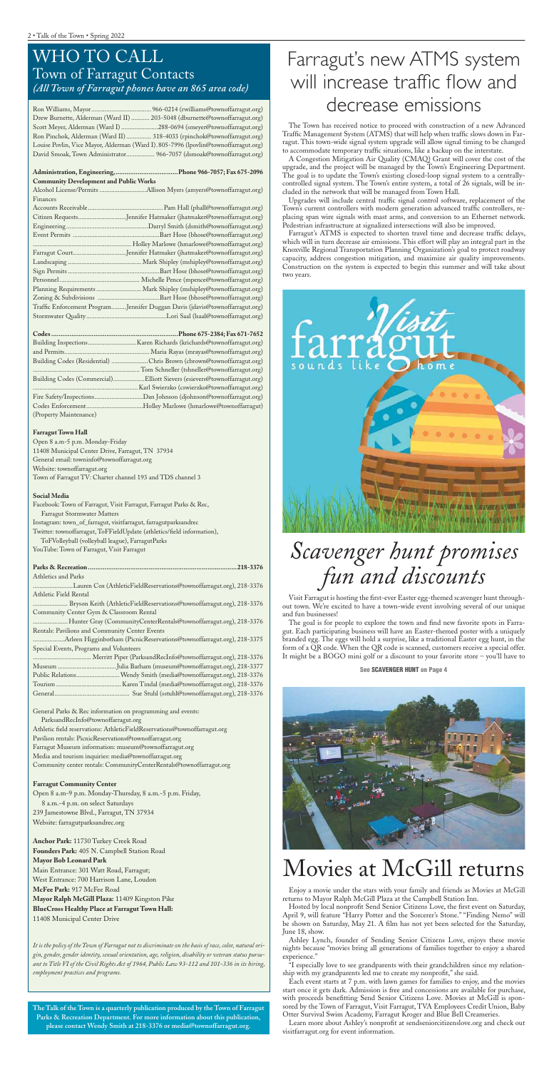### WHO TO CALL Town of Farragut Contacts *(All Town of Farragut phones have an 865 area code)*

| Drew Burnette, Alderman (Ward II)  203-5048 (dburnette@townoffarragut.org)         |  |
|------------------------------------------------------------------------------------|--|
| Scott Meyer, Alderman (Ward I)288-0694 (smeyer@townoffarragut.org)                 |  |
| Ron Pinchok, Alderman (Ward II) 318-4033 (rpinchok@townoffarragut.org)             |  |
| Louise Povlin, Vice Mayor, Alderman (Ward I).805-7996 (lpovlin@townoffarragut.org) |  |
| David Smoak, Town Administrator 966-7057 (dsmoak@townoffarragut.org)               |  |

#### **Administration, Engineering, ..................................Phone 966-7057; Fax 675-2096 Community Development and Public Works**

Alcohol License/Permits ............................Allison Myers (amyers@townoffarragut.org) Finances

| Citizen RequestsJennifer Hatmaker (jhatmaker@townoffarragut.org)             |
|------------------------------------------------------------------------------|
|                                                                              |
|                                                                              |
|                                                                              |
| Farragut CourtJennifer Hatmaker (jhatmaker@townoffarragut.org)               |
|                                                                              |
|                                                                              |
|                                                                              |
| Planning Requirements  Mark Shipley (mshipley@townoffarragut.org)            |
|                                                                              |
| Traffic Enforcement ProgramJennifer Duggan Davis (jdavis@townoffarragut.org) |
|                                                                              |

|                        | Building Codes (Residential) Chris Brown (cbrown@townoffarragut.org)     |
|------------------------|--------------------------------------------------------------------------|
|                        |                                                                          |
|                        | Building Codes (Commercial)Elliott Sievers (esievers@townoffarragut.org) |
|                        |                                                                          |
|                        |                                                                          |
|                        |                                                                          |
| (Property Maintenance) |                                                                          |

#### **Farragut Town Hall**

Open 8 a.m-5 p.m. Monday-Friday 11408 Municipal Center Drive, Farragut, TN 37934 General email: towninfo@townoffarragut.org Website: townoffarragut.org Town of Farragut TV: Charter channel 193 and TDS channel 3

#### **Social Media**

| Facebook: Town of Farragut, Visit Farragut, Farragut Parks & Rec,      |
|------------------------------------------------------------------------|
| <b>Farragut Stormwater Matters</b>                                     |
| Instagram: town_of_farragut, visitfarragut, farragutparksandrec        |
| Twitter: townoffarragut, ToFFieldUpdate (athletics/field information), |
| ToFVolleyball (volleyball league), FarragutParks                       |
| YouTube: Town of Farragut, Visit Farragut                              |
|                                                                        |

#### **Parks & Recreation .................................................................................218-3376** Athletics and Parks

........................Lauren Cox (AthleticFieldReservations@townoffarragut.org), 218-3376 Athletic Field Rental

..................... Bryson Keith (AthleticFieldReservations@townoffarragut.org), 218-3376 Community Center Gym & Classroom Rental

.....................Hunter Gray (CommunityCenterRentals@townoffarragut.org), 218-3376 Rentals: Pavilions and Community Center Events

...................Arleen Higginbotham (PicnicReservations@townoffarragut.org), 218-3375 Special Events, Programs and Volunteers

| Public Relations Wendy Smith (media@townoffarragut.org), 218-3376 |
|-------------------------------------------------------------------|
|                                                                   |
|                                                                   |

General Parks & Rec information on programming and events:

 ParksandRecInfo@townoffarragut.org Athletic field reservations: AthleticFieldReservations@townoffarragut.org Pavilion rentals: PicnicReservations@townoffarragut.org Farragut Museum information: museum@townoffarragut.org Media and tourism inquiries: media@townoffarragut.org Community center rentals: CommunityCenterRentals@townoffarragut.org

#### **Farragut Community Center**

Open 8 a.m-9 p.m. Monday-Thursday, 8 a.m.-5 p.m. Friday, 8 a.m.-4 p.m. on select Saturdays 239 Jamestowne Blvd., Farragut, TN 37934 Website: farragutparksandrec.org

**Anchor Park:** 11730 Turkey Creek Road **Founders Park:** 405 N. Campbell Station Road **Mayor Bob Leonard Park** Main Entrance: 301 Watt Road, Farragut; West Entrance: 700 Harrison Lane, Loudon **McFee Park:** 917 McFee Road **Mayor Ralph McGill Plaza:** 11409 Kingston Pike **BlueCross Healthy Place at Farragut Town Hall:** 11408 Municipal Center Drive

*It is the policy of the Town of Farragut not to discriminate on the basis of race, color, natural origin, gender, gender identity, sexual orientation, age, religion, disability or veteran status pursuant to Title VI of the Civil Rights Act of 1964, Public Law 93-112 and 101-336 in its hiring, employment practices and programs.*

**The Talk of the Town is a quarterly publication produced by the Town of Farragut Parks & Recreation Department. For more information about this publication, please contact Wendy Smith at 218-3376 or media@townoffarragut.org.**

## Movies at McGill returns

Enjoy a movie under the stars with your family and friends as Movies at McGill returns to Mayor Ralph McGill Plaza at the Campbell Station Inn.

Hosted by local nonprofit Send Senior Citizens Love, the first event on Saturday, April 9, will feature "Harry Potter and the Sorcerer's Stone." "Finding Nemo" will be shown on Saturday, May 21. A film has not yet been selected for the Saturday, June 18, show.

Ashley Lynch, founder of Sending Senior Citizens Love, enjoys these movie nights because "movies bring all generations of families together to enjoy a shared experience."

"I especially love to see grandparents with their grandchildren since my relationship with my grandparents led me to create my nonprofit," she said.

Each event starts at 7 p.m. with lawn games for families to enjoy, and the movies start once it gets dark. Admission is free and concessions are available for purchase, with proceeds benefitting Send Senior Citizens Love. Movies at McGill is sponsored by the Town of Farragut, Visit Farragut, TVA Employees Credit Union, Baby Otter Survival Swim Academy, Farragut Kroger and Blue Bell Creameries.

Learn more about Ashley's nonprofit at sendseniorcitizenslove.org and check out visitfarragut.org for event information.

## Farragut's new ATMS system will increase traffic flow and decrease emissions

The Town has received notice to proceed with construction of a new Advanced Traffic Management System (ATMS) that will help when traffic slows down in Farragut. This town-wide signal system upgrade will allow signal timing to be changed to accommodate temporary traffic situations, like a backup on the interstate.

A Congestion Mitigation Air Quality (CMAQ) Grant will cover the cost of the upgrade, and the project will be managed by the Town's Engineering Department. The goal is to update the Town's existing closed-loop signal system to a centrallycontrolled signal system. The Town's entire system, a total of 26 signals, will be included in the network that will be managed from Town Hall.

Upgrades will include central traffic signal control software, replacement of the Town's current controllers with modern generation advanced traffic controllers, replacing span wire signals with mast arms, and conversion to an Ethernet network. Pedestrian infrastructure at signalized intersections will also be improved.

Farragut's ATMS is expected to shorten travel time and decrease traffic delays, which will in turn decrease air emissions. This effort will play an integral part in the Knoxville Regional Transportation Planning Organization's goal to protect roadway capacity, address congestion mitigation, and maximize air quality improvements. Construction on the system is expected to begin this summer and will take about two years.



## *Scavenger hunt promises fun and discounts*

Visit Farragut is hosting the first-ever Easter egg-themed scavenger hunt throughout town. We're excited to have a town-wide event involving several of our unique and fun businesses!

The goal is for people to explore the town and find new favorite spots in Farragut. Each participating business will have an Easter-themed poster with a uniquely branded egg. The eggs will hold a surprise, like a traditional Easter egg hunt, in the form of a QR code. When the QR code is scanned, customers receive a special offer. It might be a BOGO mini golf or a discount to your favorite store – you'll have to

#### **See SCAVENGER HUNT on Page 4**

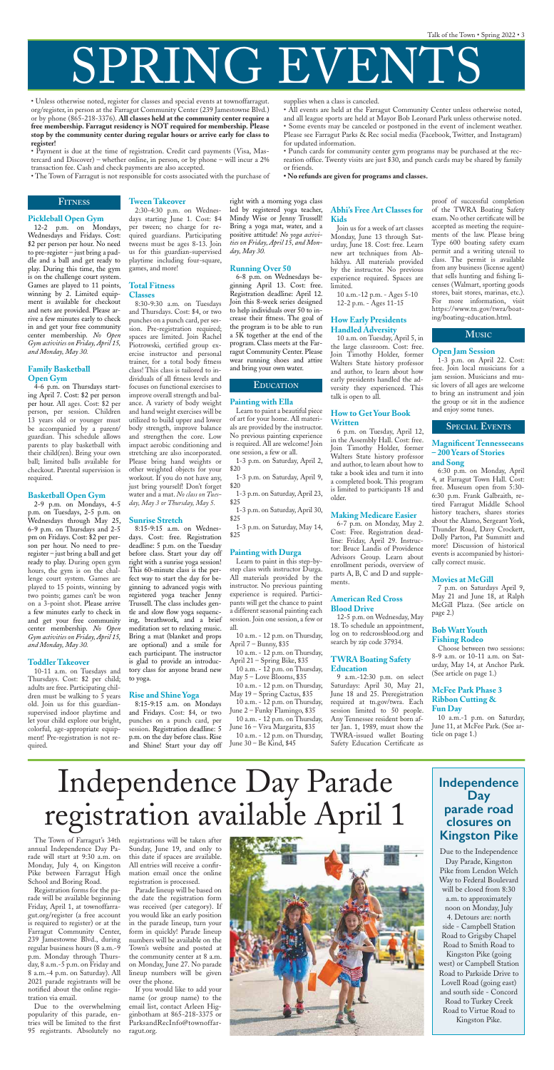# SPRING EVENTS

#### **Pickleball Open Gym**

12-2 p.m. on Mondays, Wednesdays and Fridays. Cost: \$2 per person per hour. No need to pre-register – just bring a paddle and a ball and get ready to play. During this time, the gym is on the challenge court system. Games are played to 11 points, winning by 2. Limited equipment is available for checkout and nets are provided. Please arrive a few minutes early to check in and get your free community center membership. *No Open Gym activities on Friday, April 15, and Monday, May 30.*

#### **Family Basketball Open Gym**

4-6 p.m. on Thursdays starting April 7. Cost: \$2 per person per hour. All ages. Cost: \$2 per person, per session. Children 13 years old or younger must be accompanied by a parent/ guardian. This schedule allows parents to play basketball with their child(ren). Bring your own ball; limited balls available for checkout. Parental supervision is required.

#### **Basketball Open Gym**

2-9 p.m. on Mondays, 4-5 p.m. on Tuesdays, 2-5 p.m. on Wednesdays through May 25, 6-9 p.m. on Thursdays and 2-5 pm on Fridays. Cost: \$2 per person per hour. No need to preregister – just bring a ball and get ready to play. During open gym hours, the gym is on the challenge court system. Games are played to 15 points, winning by two points; games can't be won on a 3-point shot. Please arrive a few minutes early to check in and get your free community

center membership. *No Open Gym activities on Friday, April 15, and Monday, May 30.*

#### **Toddler Takeover**

10-11 a.m. on Tuesdays and Thursdays. Cost: \$2 per child; adults are free. Participating children must be walking to 5 years old. Join us for this guardiansupervised indoor playtime and let your child explore our bright, colorful, age-appropriate equipment! Pre-registration is not required.

**Tween Takeover**

2:30-4:30 p.m. on Wednesdays starting June 1. Cost: \$4 per tween; no charge for required guardians. Participating tweens must be ages 8-13. Join us for this guardian-supervised playtime including four-square, games, and more!

#### **Total Fitness Classes**

8:30-9:30 a.m. on Tuesdays and Thursdays. Cost: \$4, or two punches on a punch card, per session. Pre-registration required; spaces are limited. Join Rachel Piotrowski, certified group exercise instructor and personal trainer, for a total body fitness class! This class is tailored to individuals of all fitness levels and focuses on functional exercises to improve overall strength and balance. A variety of body weight and hand weight exercises will be utilized to build upper and lower body strength, improve balance and strengthen the core. Low impact aerobic conditioning and stretching are also incorporated. Please bring hand weights or other weighted objects for your workout. If you do not have any, just bring yourself! Don't forget water and a mat. *No class on Tuesday, May 3 or Thursday, May 5.*

#### **Sunrise Stretch**

8:15-9:15 a.m. on Wednesdays. Cost: free. Registration deadline: 5 p.m. on the Tuesday before class. Start your day off right with a sunrise yoga session! This 60-minute class is the perfect way to start the day for beginning to advanced yogis with registered yoga teacher Jenny Trussell. The class includes gentle and slow flow yoga sequencing, breathwork, and a brief meditation set to relaxing music. Bring a mat (blanket and props are optional) and a smile for each participant. The instructor is glad to provide an introductory class for anyone brand new to yoga.

#### **Rise and Shine Yoga**

8:15-9:15 a.m. on Mondays and Fridays. Cost: \$4, or two punches on a punch card, per session. Registration deadline: 5 p.m. on the day before class. Rise and Shine! Start your day off right with a morning yoga class led by registered yoga teacher, Mindy Wise or Jenny Trussell! Bring a yoga mat, water, and a positive attitude! *No yoga activities on Friday, April 15, and Monday, May 30.*

#### **Running Over 50**

6-8 p.m. on Wednesdays beginning April 13. Cost: free. Registration deadline: April 12. Join this 8-week series designed to help individuals over 50 to increase their fitness. The goal of the program is to be able to run a 5K together at the end of the program. Class meets at the Farragut Community Center. Please wear running shoes and attire and bring your own water.

#### **Painting with Ella**

Learn to paint a beautiful piece of art for your home. All materials are provided by the instructor. No previous painting experience is required. All are welcome! Join one session, a few or all.

1-3 p.m. on Saturday, April 2, \$20

1-3 p.m. on Saturday, April 9, \$20

1-3 p.m. on Saturday, April 23, \$25

1-3 p.m. on Saturday, April 30, \$25

1-3 p.m. on Saturday, May 14, \$25

#### **Painting with Durga**

Learn to paint in this step-bystep class with instructor Durga. All materials provided by the instructor. No previous painting experience is required. Participants will get the chance to paint a different seasonal painting each session. Join one session, a few or all. 10 a.m. - 12 p.m. on Thursday, April 7 – Bunny, \$35

10 a.m. - 12 p.m. on Thursday, April 21 – Spring Bike, \$35

10 a.m. - 12 p.m. on Thursday, May 5 – Love Blooms, \$35

10 a.m. - 12 p.m. on Thursday, May 19 – Spring Cactus, \$35

10 a.m. - 12 p.m. on Thursday, June 2 – Funky Flamingo, \$35 10 a.m. - 12 p.m. on Thursday, June 16 – Viva Margarita, \$35

10 a.m. - 12 p.m. on Thursday, June 30 – Be Kind, \$45

#### **Abhi's Free Art Classes for Kids**

Join us for a week of art classes Monday, June 13 through Saturday, June 18. Cost: free. Learn new art techniques from Abhikhya. All materials provided by the instructor. No previous experience required. Spaces are limited.

10 a.m.-12 p.m. - Ages 5-10 12-2 p.m. - Ages 11-15

#### **How Early Presidents Handled Adversity**

10 a.m. on Tuesday, April 5, in the large classroom. Cost: free. Join Timothy Holder, former Walters State history professor and author, to learn about how early presidents handled the adversity they experienced. This talk is open to all.

#### **How to Get Your Book Written**

6 p.m. on Tuesday, April 12, in the Assembly Hall. Cost: free. Join Timothy Holder, former Walters State history professor and author, to learn about how to take a book idea and turn it into a completed book. This program is limited to participants 18 and older.

#### **Making Medicare Easier**

#### **Education EDUCATION**

6-7 p.m. on Monday, May 2. Cost: Free. Registration deadline: Friday, April 29. Instructor: Bruce Landis of Providence Advisors Group. Learn about enrollment periods, overview of parts  $A$ ,  $B$ ,  $C$  and  $D$  and supplements.

#### **American Red Cross Blood Drive**

12-5 p.m. on Wednesday, May

18. To schedule an appointment, log on to redcrossblood.org and search by zip code 37934.

#### **TWRA Boating Safety Education**

9 a.m.-12:30 p.m. on select Saturdays: April 30, May 21, June 18 and 25. Preregistration required at tn.gov/twra. Each session limited to 50 people. Any Tennessee resident born after Jan. 1, 1989, must show the TWRA-issued wallet Boating Safety Education Certificate as

proof of successful completion of the TWRA Boating Safety exam. No other certificate will be accepted as meeting the requirements of the law. Please bring Type 600 boating safety exam permit and a writing utensil to class. The permit is available from any business (license agent) that sells hunting and fishing licenses (Walmart, sporting goods stores, bait stores, marinas, etc.). For more information, visit https://www.tn.gov/twra/boating/boating-education.html.

#### **Open Jam Session**

1-3 p.m. on April 22. Cost: free. Join local musicians for a jam session. Musicians and music lovers of all ages are welcome to bring an instrument and join the group or sit in the audience and enjoy some tunes.

#### **Magnificent Tennesseeans – 200 Years of Stories and Song**

6:30 p.m. on Monday, April 4, at Farragut Town Hall. Cost: free. Museum open from 5:30- 6:30 p.m. Frank Galbraith, retired Farragut Middle School history teachers, shares stories about the Alamo, Sergeant York, Thunder Road, Davy Crockett, Dolly Parton, Pat Summitt and more! Discussion of historical events is accompanied by historically correct music.

#### **Special Events SPECIAL EVENTS**

#### **Movies at McGill**

7 p.m. on Saturdays April 9, May 21 and June 18, at Ralph McGill Plaza. (See article on page 2.)

#### **Bob Watt Youth Fishing Rodeo**

Choose between two sessions: 8-9 a.m. or 10-11 a.m. on Saturday, May 14, at Anchor Park. (See article on page 1.)

#### **McFee Park Phase 3 Ribbon Cutting & Fun Day**

10 a.m.-1 p.m. on Saturday, June 11, at McFee Park. (See article on page 1.)

#### **FITNESS**

#### **MUSIC**

• Unless otherwise noted, register for classes and special events at townoffarragut. org/register, in person at the Farragut Community Center (239 Jamestowne Blvd.) or by phone (865-218-3376). **All classes held at the community center require a free membership. Farragut residency is NOT required for membership. Please stop by the community center during regular hours or arrive early for class to register!**

• Payment is due at the time of registration. Credit card payments (Visa, Mastercard and Discover) – whether online, in person, or by phone – will incur a 2% transaction fee. Cash and check payments are also accepted.

• The Town of Farragut is not responsible for costs associated with the purchase of

supplies when a class is canceled.

• All events are held at the Farragut Community Center unless otherwise noted, and all league sports are held at Mayor Bob Leonard Park unless otherwise noted. • Some events may be canceled or postponed in the event of inclement weather. Please see Farragut Parks & Rec social media (Facebook, Twitter, and Instagram)

for updated information.

• Punch cards for community center gym programs may be purchased at the recreation office. Twenty visits are just \$30, and punch cards may be shared by family

or friends.

**• No refunds are given for programs and classes.** 

annual Independence Day Parade will start at 9:30 a.m. on Monday, July 4, on Kingston Pike between Farragut High School and Boring Road.

Registration forms for the parade will be available beginning Friday, April 1, at townoffarragut.org/register (a free account is required to register) or at the Farragut Community Center, 239 Jamestowne Blvd., during regular business hours (8 a.m.-9 p.m. Monday through Thursday, 8 a.m.-5 p.m. on Friday and 8 a.m.-4 p.m. on Saturday). All 2021 parade registrants will be notified about the online registration via email.

The Town of Farragut's 34th registrations will be taken after Sunday, June 19, and only to this date if spaces are available. All entries will receive a confirmation email once the online registration is processed.

Due to the overwhelming popularity of this parade, entries will be limited to the first 95 registrants. Absolutely no

Parade lineup will be based on the date the registration form was received (per category). If you would like an early position in the parade lineup, turn your form in quickly! Parade lineup numbers will be available on the Town's website and posted at the community center at 8 a.m. on Monday, June 27. No parade lineup numbers will be given over the phone.

If you would like to add your name (or group name) to the email list, contact Arleen Higginbotham at 865-218-3375 or ParksandRecInfo@townoffarragut.org.



# Independence Day Parade registration available April 1

### **Independence Day parade road closures on Kingston Pike**

Due to the Independence Day Parade, Kingston Pike from Lendon Welch Way to Federal Boulevard will be closed from 8:30 a.m. to approximately noon on Monday, July 4. Detours are: north side - Campbell Station Road to Grigsby Chapel Road to Smith Road to Kingston Pike (going west) or Campbell Station Road to Parkside Drive to Lovell Road (going east) and south side - Concord Road to Turkey Creek Road to Virtue Road to Kingston Pike.